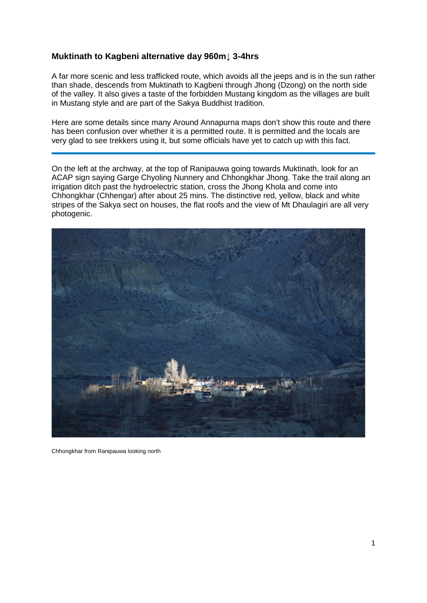## **Muktinath to Kagbeni alternative day 960m↓ 3-4hrs**

A far more scenic and less trafficked route, which avoids all the jeeps and is in the sun rather than shade, descends from Muktinath to Kagbeni through Jhong (Dzong) on the north side of the valley. It also gives a taste of the forbidden Mustang kingdom as the villages are built in Mustang style and are part of the Sakya Buddhist tradition.

Here are some details since many Around Annapurna maps don't show this route and there has been confusion over whether it is a permitted route. It is permitted and the locals are very glad to see trekkers using it, but some officials have yet to catch up with this fact.

On the left at the archway, at the top of Ranipauwa going towards Muktinath, look for an ACAP sign saying Garge Chyoling Nunnery and Chhongkhar Jhong. Take the trail along an irrigation ditch past the hydroelectric station, cross the Jhong Khola and come into Chhongkhar (Chhengar) after about 25 mins. The distinctive red, yellow, black and white stripes of the Sakya sect on houses, the flat roofs and the view of Mt Dhaulagiri are all very photogenic.



Chhongkhar from Ranipauwa looking north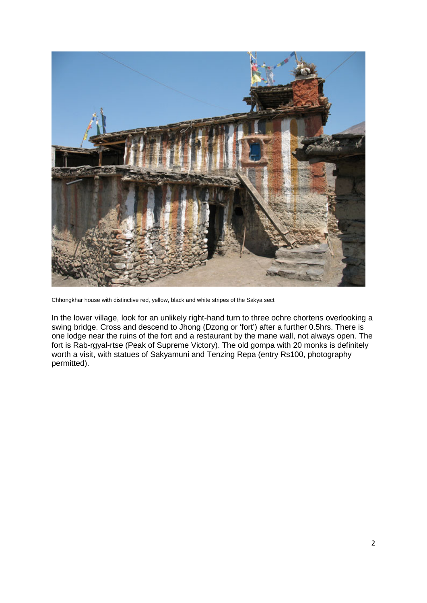

Chhongkhar house with distinctive red, yellow, black and white stripes of the Sakya sect

In the lower village, look for an unlikely right-hand turn to three ochre chortens overlooking a swing bridge. Cross and descend to Jhong (Dzong or 'fort') after a further 0.5hrs. There is one lodge near the ruins of the fort and a restaurant by the mane wall, not always open. The fort is Rab-rgyal-rtse (Peak of Supreme Victory). The old gompa with 20 monks is definitely worth a visit, with statues of Sakyamuni and Tenzing Repa (entry Rs100, photography permitted).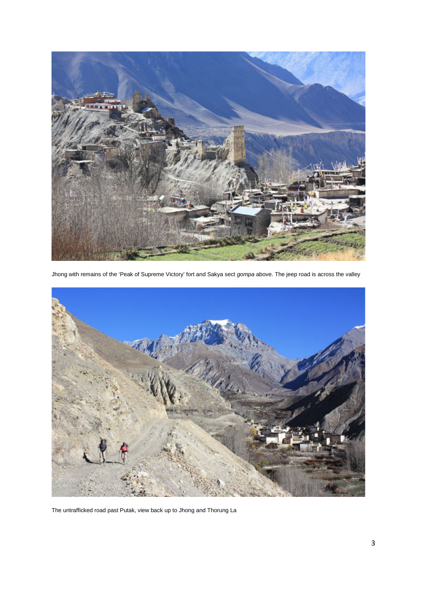

Jhong with remains of the 'Peak of Supreme Victory' fort and Sakya sect *gompa* above. The jeep road is across the valley



The untrafficked road past Putak, view back up to Jhong and Thorung La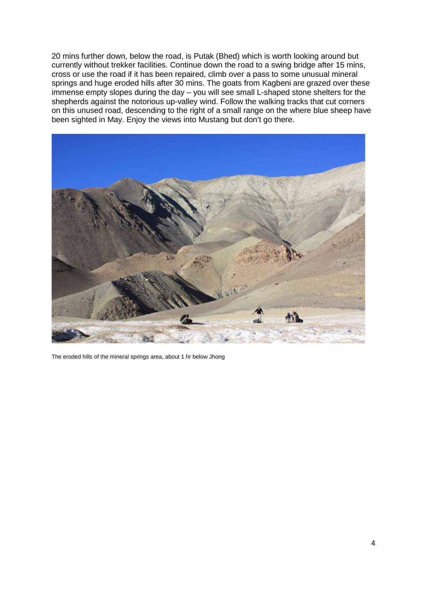20 mins further down, below the road, is Putak (Bhed) which is worth looking around but currently without trekker facilities. Continue down the road to a swing bridge after 15 mins, cross or use the road if it has been repaired, climb over a pass to some unusual mineral springs and huge eroded hills after 30 mins. The goats from Kagbeni are grazed over these immense empty slopes during the day – you will see small L-shaped stone shelters for the shepherds against the notorious up-valley wind. Follow the walking tracks that cut corners on this unused road, descending to the right of a small range on the where blue sheep have been sighted in May. Enjoy the views into Mustang but don't go there.



The eroded hills of the mineral springs area, about 1 hr below Jhong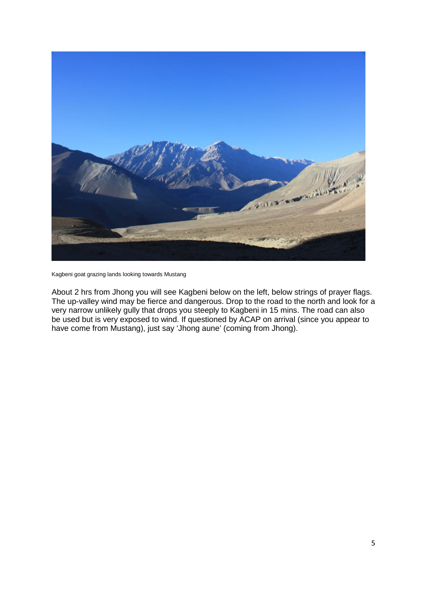

Kagbeni goat grazing lands looking towards Mustang

About 2 hrs from Jhong you will see Kagbeni below on the left, below strings of prayer flags. The up-valley wind may be fierce and dangerous. Drop to the road to the north and look for a very narrow unlikely gully that drops you steeply to Kagbeni in 15 mins. The road can also be used but is very exposed to wind. If questioned by ACAP on arrival (since you appear to have come from Mustang), just say 'Jhong aune' (coming from Jhong).